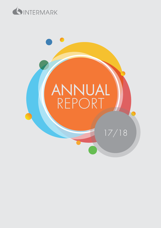

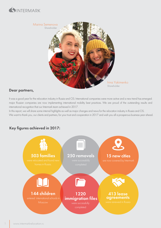![](_page_1_Picture_0.jpeg)

![](_page_1_Picture_1.jpeg)

#### Dear partners,

It was a good year for the relocation industry in Russia and CIS. International companies were more active and a new trend has emerged: major Russian companies are now implementing international mobility best practices. We are proud of the outstanding results and international recognition that our Intermark team achieved in 2017.

In this report, we will share some internal highlights as well as major changes and news for the relocation industry in Russia and CIS. We want to thank you, our clients and partners, for your trust and cooperation in 2017 and wish you all a prosperous business year ahead.

![](_page_1_Figure_5.jpeg)

#### Key figures achieved in 2017: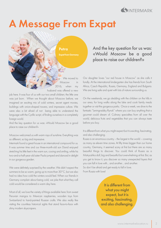![](_page_2_Picture_0.jpeg)

# A Message From Expat

![](_page_2_Picture_2.jpeg)

job here. It was four of us with our two small children; the little one was just born. When we thought about Moscow before, we imagined an exciting mix of cold winters, secret agent movies, buildings with onion-shaped towers, and impressive culture. We were also a bit afraid of not being able to understand the language with the Cyrillic script, of finding ourselves in a completely foreign world.

And the key question for us was: «Would Moscow be a good place to raise our children?»

Moscow welcomed us with warm rays of sunshine. Everything was so different, so big and impressive.

Intermark found a great house in an international compound for us. It was summer time and our three-month-old son David enjoyed stretching his little feet in the warm sun, cooing and smiling, while his two-and-a-half-year-old sister Paula jumped and danced in delight in our gorgeous garden.

We were definitely surprised by the weather. We didn't expect the summers to be so warm, going up to more than 30°C, but we also had no idea how cold the winters would feel. When our friends in Germany complain about being cold, we joke that what they call cold would be considered a warm day here.

Most of all, we love the variety of things available here: from sweet Peruvian mangos to Mexican raspberries, wooden toys from Switzerland to hand-painted Russian crafts. We also really like visiting the countless historical sights that stand face-to-face with shiny modern skyscrapers.

# And the key question for us was: «Would Moscow be a good place to raise our children?»

Our daughter loves "our red house in Moscow" as she calls it fondly. At the international kindergarten she has friends from South Africa, Czech Republic, Russia, Germany, England and Bulgaria. We are living safe and quiet with lots of nature surrounding us.

On the weekends, we go sledding with the children on the hills in our area, for long walks along the lake and cook family meals together or visit the gorgeous parks. Once a week, we drive to the fantastic "Leningradsky Rynok" where you can buy anything that a gourmet could dream of. Culinary specialties from all over the world, delicious fruits and vegetables that you can always taste before you buy.

It is different from what you might expect but it is exciting, fascinating, and also challenging.

Russia is an enormous country – the largest in the world – covering as many as eleven time zones. At fifty times bigger than our home country, Germany, it seemed scary at first but there are so many beautiful things to discover. You could think of Russia as a Matryoshka doll, big and beautiful but overwhelming at first. But, as you get to know it, you discover so many unexpected layers that you can fall in love with… and another… and another. So don't be afraid and get ready to fall in love.

From Russia with love!

It is different from what you might expect, but it is exciting, fascinating, and also challenging.